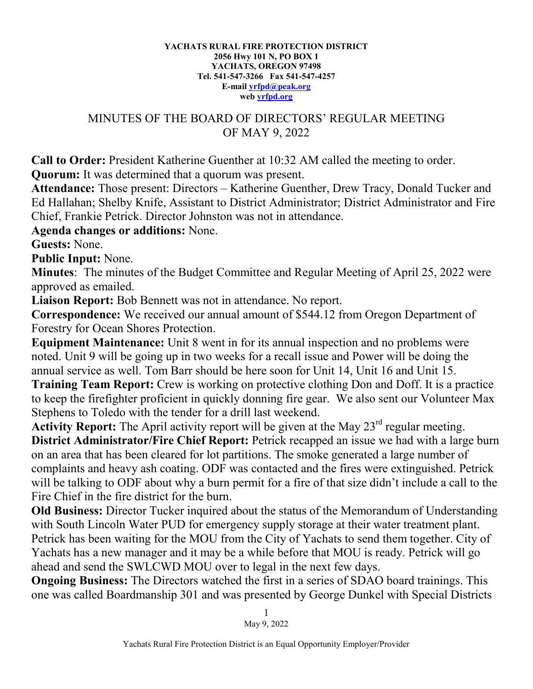## **YACHATS RURAL FIRE PROTECTION DISTRICT 2056 Hwy 101 N, PO BOX 1 YACHATS, OREGON 97498 Tel. 541-547-3266 Fax 541-547-4257 E-mail [yrfpd@peak.org](mailto:yrfpd@peak.org) web [yrfpd.org](http://www.yrfpd.org/)**

## MINUTES OF THE BOARD OF DIRECTORS' REGULAR MEETING OF MAY 9, 2022

**Call to Order:** President Katherine Guenther at 10:32 AM called the meeting to order. **Quorum:** It was determined that a quorum was present.

**Attendance:** Those present: Directors – Katherine Guenther, Drew Tracy, Donald Tucker and Ed Hallahan; Shelby Knife, Assistant to District Administrator; District Administrator and Fire Chief, Frankie Petrick. Director Johnston was not in attendance.

**Agenda changes or additions:** None.

**Guests:** None.

**Public Input:** None.

**Minutes**: The minutes of the Budget Committee and Regular Meeting of April 25, 2022 were approved as emailed.

**Liaison Report:** Bob Bennett was not in attendance. No report.

**Correspondence:** We received our annual amount of \$544.12 from Oregon Department of Forestry for Ocean Shores Protection.

**Equipment Maintenance:** Unit 8 went in for its annual inspection and no problems were noted. Unit 9 will be going up in two weeks for a recall issue and Power will be doing the annual service as well. Tom Barr should be here soon for Unit 14, Unit 16 and Unit 15.

**Training Team Report:** Crew is working on protective clothing Don and Doff. It is a practice to keep the firefighter proficient in quickly donning fire gear. We also sent our Volunteer Max Stephens to Toledo with the tender for a drill last weekend.

Activity Report: The April activity report will be given at the May 23<sup>rd</sup> regular meeting. **District Administrator/Fire Chief Report:** Petrick recapped an issue we had with a large burn on an area that has been cleared for lot partitions. The smoke generated a large number of complaints and heavy ash coating. ODF was contacted and the fires were extinguished. Petrick will be talking to ODF about why a burn permit for a fire of that size didn't include a call to the Fire Chief in the fire district for the burn.

**Old Business:** Director Tucker inquired about the status of the Memorandum of Understanding with South Lincoln Water PUD for emergency supply storage at their water treatment plant. Petrick has been waiting for the MOU from the City of Yachats to send them together. City of Yachats has a new manager and it may be a while before that MOU is ready. Petrick will go ahead and send the SWLCWD MOU over to legal in the next few days.

**Ongoing Business:** The Directors watched the first in a series of SDAO board trainings. This one was called Boardmanship 301 and was presented by George Dunkel with Special Districts